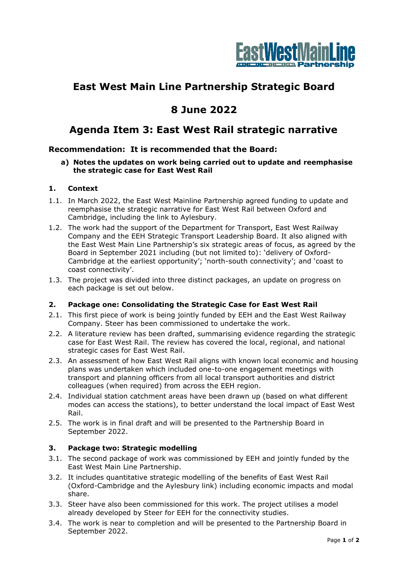

# **East West Main Line Partnership Strategic Board**

## **8 June 2022**

### **Agenda Item 3: East West Rail strategic narrative**

### **Recommendation: It is recommended that the Board:**

**a) Notes the updates on work being carried out to update and reemphasise the strategic case for East West Rail**

#### **1. Context**

- 1.1. In March 2022, the East West Mainline Partnership agreed funding to update and reemphasise the strategic narrative for East West Rail between Oxford and Cambridge, including the link to Aylesbury.
- 1.2. The work had the support of the Department for Transport, East West Railway Company and the EEH Strategic Transport Leadership Board. It also aligned with the East West Main Line Partnership's six strategic areas of focus, as agreed by the Board in September 2021 including (but not limited to): 'delivery of Oxford-Cambridge at the earliest opportunity'; 'north-south connectivity'; and 'coast to coast connectivity'.
- 1.3. The project was divided into three distinct packages, an update on progress on each package is set out below.

#### **2. Package one: Consolidating the Strategic Case for East West Rail**

- 2.1. This first piece of work is being jointly funded by EEH and the East West Railway Company. Steer has been commissioned to undertake the work.
- 2.2. A literature review has been drafted, summarising evidence regarding the strategic case for East West Rail. The review has covered the local, regional, and national strategic cases for East West Rail.
- 2.3. An assessment of how East West Rail aligns with known local economic and housing plans was undertaken which included one-to-one engagement meetings with transport and planning officers from all local transport authorities and district colleagues (when required) from across the EEH region.
- 2.4. Individual station catchment areas have been drawn up (based on what different modes can access the stations), to better understand the local impact of East West Rail.
- 2.5. The work is in final draft and will be presented to the Partnership Board in September 2022.

#### **3. Package two: Strategic modelling**

- 3.1. The second package of work was commissioned by EEH and jointly funded by the East West Main Line Partnership.
- 3.2. It includes quantitative strategic modelling of the benefits of East West Rail (Oxford-Cambridge and the Aylesbury link) including economic impacts and modal share.
- 3.3. Steer have also been commissioned for this work. The project utilises a model already developed by Steer for EEH for the connectivity studies.
- 3.4. The work is near to completion and will be presented to the Partnership Board in September 2022.